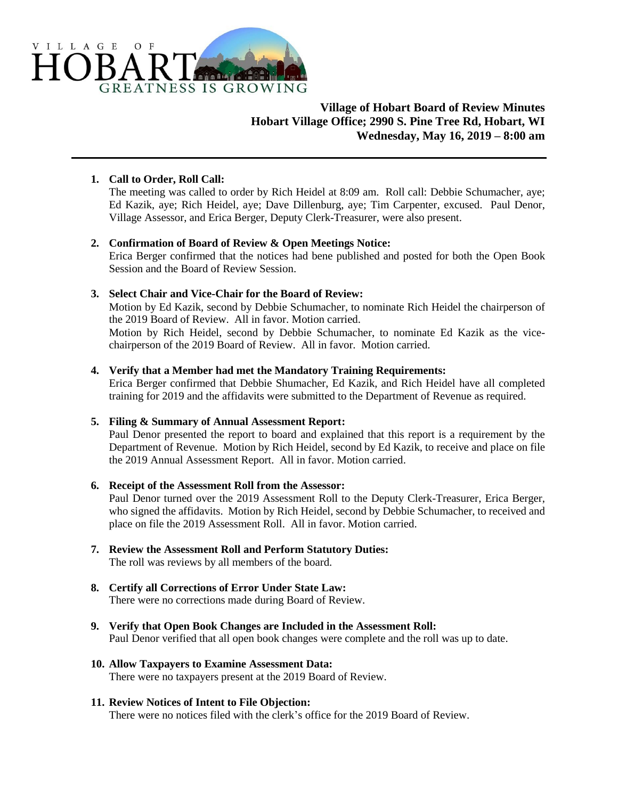

# **Village of Hobart Board of Review Minutes Hobart Village Office; 2990 S. Pine Tree Rd, Hobart, WI Wednesday, May 16, 2019 – 8:00 am**

### **1. Call to Order, Roll Call:**

The meeting was called to order by Rich Heidel at 8:09 am. Roll call: Debbie Schumacher, aye; Ed Kazik, aye; Rich Heidel, aye; Dave Dillenburg, aye; Tim Carpenter, excused. Paul Denor, Village Assessor, and Erica Berger, Deputy Clerk-Treasurer, were also present.

### **2. Confirmation of Board of Review & Open Meetings Notice:**

Erica Berger confirmed that the notices had bene published and posted for both the Open Book Session and the Board of Review Session.

### **3. Select Chair and Vice-Chair for the Board of Review:**

Motion by Ed Kazik, second by Debbie Schumacher, to nominate Rich Heidel the chairperson of the 2019 Board of Review. All in favor. Motion carried.

Motion by Rich Heidel, second by Debbie Schumacher, to nominate Ed Kazik as the vicechairperson of the 2019 Board of Review. All in favor. Motion carried.

#### **4. Verify that a Member had met the Mandatory Training Requirements:**

Erica Berger confirmed that Debbie Shumacher, Ed Kazik, and Rich Heidel have all completed training for 2019 and the affidavits were submitted to the Department of Revenue as required.

### **5. Filing & Summary of Annual Assessment Report:**

Paul Denor presented the report to board and explained that this report is a requirement by the Department of Revenue. Motion by Rich Heidel, second by Ed Kazik, to receive and place on file the 2019 Annual Assessment Report. All in favor. Motion carried.

### **6. Receipt of the Assessment Roll from the Assessor:**

Paul Denor turned over the 2019 Assessment Roll to the Deputy Clerk-Treasurer, Erica Berger, who signed the affidavits. Motion by Rich Heidel, second by Debbie Schumacher, to received and place on file the 2019 Assessment Roll. All in favor. Motion carried.

- **7. Review the Assessment Roll and Perform Statutory Duties:** The roll was reviews by all members of the board.
- **8. Certify all Corrections of Error Under State Law:** There were no corrections made during Board of Review.
- **9. Verify that Open Book Changes are Included in the Assessment Roll:** Paul Denor verified that all open book changes were complete and the roll was up to date.
- **10. Allow Taxpayers to Examine Assessment Data:** There were no taxpayers present at the 2019 Board of Review.

### **11. Review Notices of Intent to File Objection:**

There were no notices filed with the clerk's office for the 2019 Board of Review.